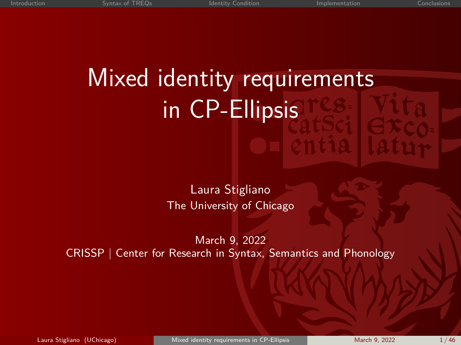# <span id="page-0-0"></span>Mixed identity requirements in CP-Ellipsis

Laura Stigliano The University of Chicago

March 9, 2022 CRISSP | Center for Research in Syntax, Semantics and Phonology

Laura Stigliano (UChicago) [Mixed identity requirements in CP-Ellipsis](#page-45-0) March 9, 2022 1/46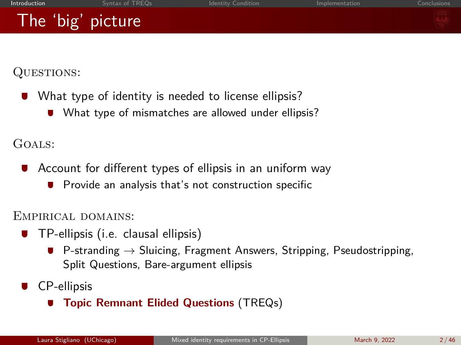<span id="page-1-0"></span>QUESTIONS:

- What type of identity is needed to license ellipsis?
	- What type of mismatches are allowed under ellipsis?

Goals:

- $\blacksquare$ Account for different types of ellipsis in an uniform way
	- Provide an analysis that's not construction specific

Empirical domains:

- **TP-ellipsis (i.e. clausal ellipsis)** 
	- **P**-stranding  $\rightarrow$  Sluicing, Fragment Answers, Stripping, Pseudostripping, Split Questions, Bare-argument ellipsis
- CP-ellipsis
	- **Topic Remnant Elided Questions** (TREQs)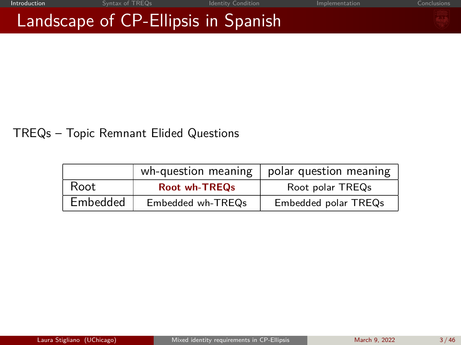## Landscape of CP-Ellipsis in Spanish

### TREQs – Topic Remnant Elided Questions

|          | wh-question meaning  | polar question meaning |
|----------|----------------------|------------------------|
| Root     | <b>Root wh-TREOs</b> | Root polar TREQs       |
| Embedded | Embedded wh-TREQs    | Embedded polar TREQs   |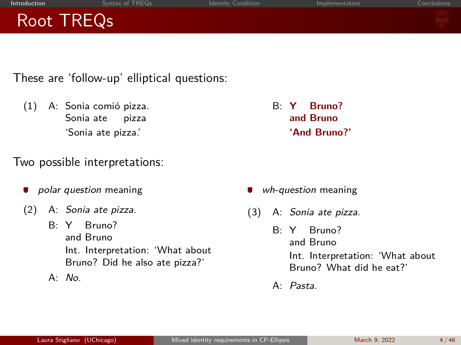| . Introduction | Syntax of TREQs | <b>Identity Condition</b> | Implementation | Conclusions |
|----------------|-----------------|---------------------------|----------------|-------------|
| Root TREQs     |                 |                           |                |             |
|                |                 |                           |                |             |

These are 'follow-up' elliptical questions:

(1) A: Sonia comió pizza. Sonia ate pizza 'Sonia ate pizza.'

### Two possible interpretations:

- polar question meaning
- (2) A: Sonia ate pizza.
	- B: Y Bruno? and Bruno Int. Interpretation: 'What about Bruno? Did he also ate pizza?'
	- $A \cdot N_O$

B: **Y and Bruno Bruno? 'And Bruno?'**

- wh-question meaning
- (3) A: Sonia ate pizza.
	- B: Y and Bruno Bruno? Int. Interpretation: 'What about Bruno? What did he eat?'
		- A: Pasta.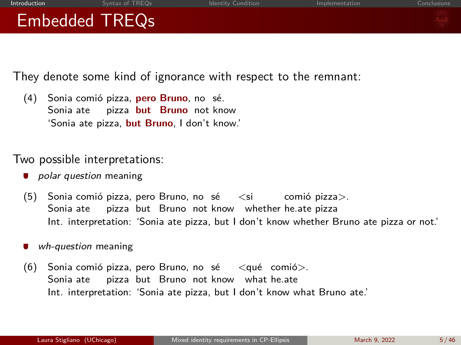

They denote some kind of ignorance with respect to the remnant:

(4) Sonia comió pizza, **pero Bruno**, no sé. Sonia ate pizza **but Bruno** not know 'Sonia ate pizza, **but Bruno**, I don't know.'

Two possible interpretations:

- **polar question meaning**
- (5) Sonia comió pizza, pero Bruno, no sé  $\,$  <si  $\,$  comió pizza $>$ . Sonia ate pizza but Bruno not know whether he.ate pizza Int. interpretation: 'Sonia ate pizza, but I don't know whether Bruno ate pizza or not.'
- wh-question meaning
- (6) Sonia comió pizza, pero Bruno, no sé  $\qquad$ <qué comió $>$ . Sonia ate pizza but Bruno not know what he.ate Int. interpretation: 'Sonia ate pizza, but I don't know what Bruno ate.'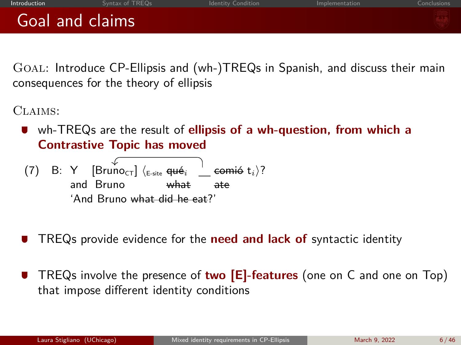| Introduction |
|--------------|
|              |

## Goal and claims

Goal: Introduce CP-Ellipsis and (wh-)TREQs in Spanish, and discuss their main consequences for the theory of ellipsis

CLAIMS:

wh-TREQs are the result of **ellipsis of a wh-question, from which a Contrastive Topic has moved**

 $(7)$  В: Y  $[Bruno_{CT}] \langle$ <sub>E-site</sub> <del>qué</del><sub>i</sub> and Bruno what  $\mathsf{comi\'o}\; \mathsf{t}_i$ )? ate 'And Bruno what did he eat?'

- TREQs provide evidence for the **need and lack of** syntactic identity
- TREQs involve the presence of **two [E]-features** (one on C and one on Top) that impose different identity conditions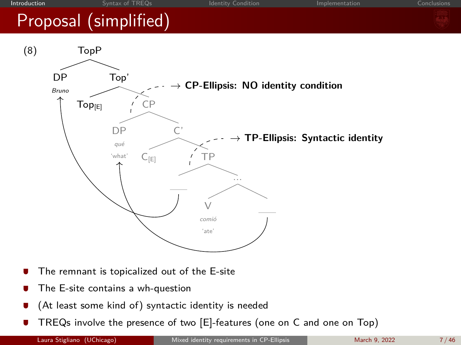

- The remnant is topicalized out of the E-site
- The E-site contains a wh-question
- (At least some kind of) syntactic identity is needed
- TREQs involve the presence of two [E]-features (one on C and one on Top)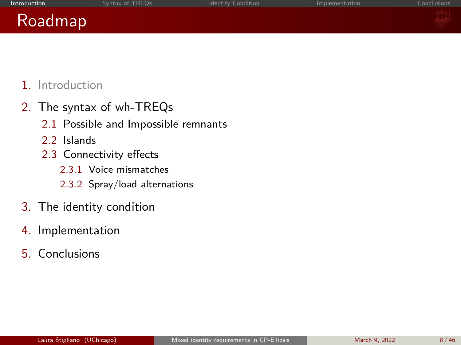| <b>Introduction</b> | Syntax of TREQs | <b>Identity Condition</b> | Implementation | Conclusions |
|---------------------|-----------------|---------------------------|----------------|-------------|
|                     |                 |                           |                |             |

### Roadmap

1. Introduction

- 2. The syntax of wh-TREQs
	- 2.1 Possible and Impossible remnants
	- 2.2 Islands
	- 2.3 Connectivity effects
		- 2.3.1 Voice mismatches
		- 2.3.2 Spray/load alternations
- 3. The identity condition
- 4. Implementation
- 5. Conclusions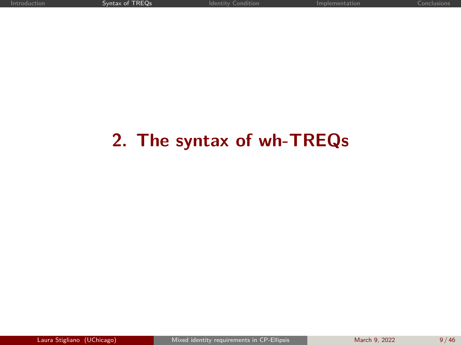### <span id="page-8-0"></span>**2. The syntax of wh-TREQs**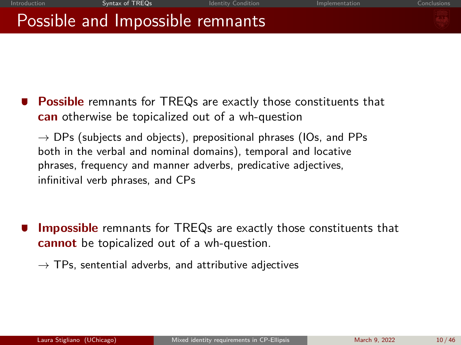## Possible and Impossible remnants

**Possible** remnants for TREQs are exactly those constituents that **can** otherwise be topicalized out of a wh-question

 $\rightarrow$  DPs (subjects and objects), prepositional phrases (IOs, and PPs both in the verbal and nominal domains), temporal and locative phrases, frequency and manner adverbs, predicative adjectives, infinitival verb phrases, and CPs

**Impossible** remnants for TREQs are exactly those constituents that **cannot** be topicalized out of a wh-question.

 $\rightarrow$  TPs, sentential adverbs, and attributive adjectives

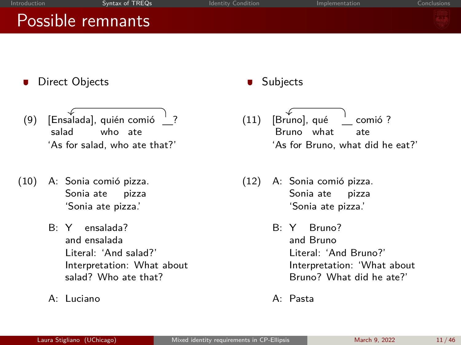## Possible remnants

- **Direct Objects**
- (9) [Ensalada], quién comió \_\_? salad who ate 'As for salad, who ate that?'
- (10) A: Sonia comió pizza. Sonia ate pizza 'Sonia ate pizza.'
	- B: Y ensalada? and ensalada Literal: 'And salad?' Interpretation: What about salad? Who ate that?
	- A: Luciano

### $\blacksquare$ Subjects

- (11) [Bruno], qué Bruno what comió ? ate 'As for Bruno, what did he eat?'
- (12) A: Sonia comió pizza. Sonia ate pizza 'Sonia ate pizza.'
	- B: Y Bruno? and Bruno Literal: 'And Bruno?' Interpretation: 'What about Bruno? What did he ate?'
	- A: Pasta

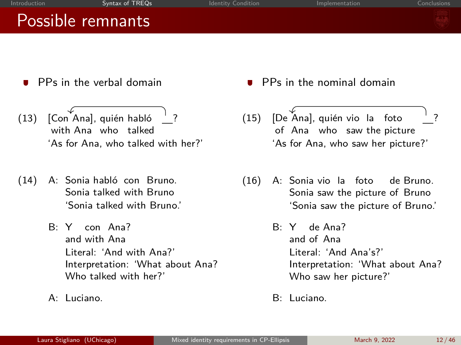| Introduction | Syntax of TREQs   | <b>Identity Condition</b> | Implementation | Conclusions |
|--------------|-------------------|---------------------------|----------------|-------------|
|              | Possible remnants |                           |                |             |
|              |                   |                           |                |             |
|              |                   |                           | ___<br>.       |             |

- PPs in the verbal domain
- (13) [Con Ana], quién habló with Ana who talked ? 'As for Ana, who talked with her?'
- (14) A: Sonia habló con Bruno. Sonia talked with Bruno 'Sonia talked with Bruno.'
	- B: Y con Ana? and with Ana Literal: 'And with Ana?' Interpretation: 'What about Ana? Who talked with her?'
	- A: Luciano.
- PPs in the nominal domain
- (15) [De Ana], quién vio la foto of Ana who saw the picture ? 'As for Ana, who saw her picture?'
- (16) A: Sonia vio la foto Sonia saw the picture of Bruno de Bruno. 'Sonia saw the picture of Bruno.'
	- B: Y de Ana? and of Ana Literal: 'And Ana's?' Interpretation: 'What about Ana? Who saw her picture?'
	- B: Luciano.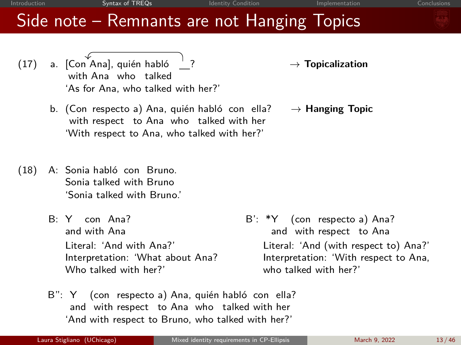→ **Topicalization** 

→ **Hanging Topic**

### Side note – Remnants are not Hanging Topics

- (17) a. [Con Ana], quién habló with Ana who talked 'As for Ana, who talked with her?'
	- b. (Con respecto a) Ana, quién habló con ella? with respect to Ana who talked with her 'With respect to Ana, who talked with her?'
- (18) A: Sonia habló con Bruno. Sonia talked with Bruno 'Sonia talked with Bruno.'
	- B: Y con Ana? and with Ana Literal: 'And with Ana?' Interpretation: 'What about Ana? Who talked with her?'
- B': \*Y (con respecto a) Ana? and with respect to Ana Literal: 'And (with respect to) Ana?' Interpretation: 'With respect to Ana, who talked with her?'
- B": Y (con respecto a) Ana, quién habló con ella? and with respect to Ana who talked with her 'And with respect to Bruno, who talked with her?'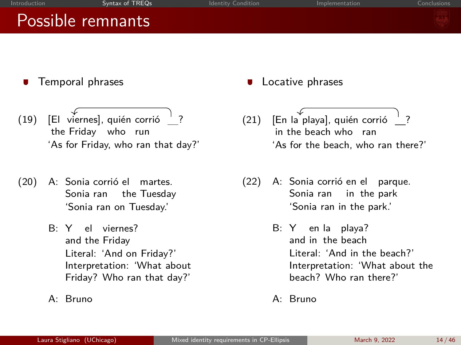### Possible remnants

- Temporal phrases
- $(19)$  [El viernes], quién corrió  $\frac{1}{2}$ ? the Friday who run 'As for Friday, who ran that day?'
- (20) A: Sonia corrió el Sonia ran the Tuesday martes. 'Sonia ran on Tuesday.'
	- B: Y el viernes? and the Friday Literal: 'And on Friday?' Interpretation: 'What about Friday? Who ran that day?'
	- A: Bruno
- Locative phrases
- (21) [En la playa], quién corrió in the beach who ran ? 'As for the beach, who ran there?'
- (22) A: Sonia corrió en el parque. Sonia ran in the park 'Sonia ran in the park.'
	- B: Y en la playa? and in the beach Literal: 'And in the beach?' Interpretation: 'What about the beach? Who ran there?'
	- A: Bruno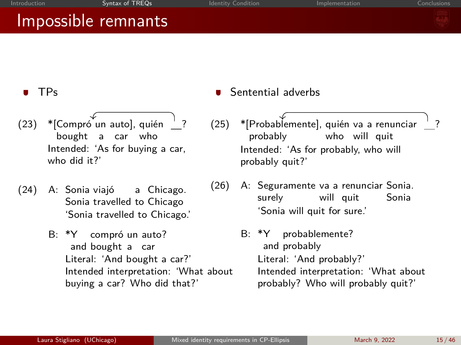### Impossible remnants



?

### TPs

- (23) \* [Compró un auto], quién bought a car who  $^{\prime}$  ? Intended: 'As for buying a car, who did it?'
- (24) A: Sonia viajó Sonia travelled to Chicago a Chicago. 'Sonia travelled to Chicago.'
	- B: \*Y and bought a car compró un auto? Literal: 'And bought a car?' Intended interpretation: 'What about buying a car? Who did that?'
- Sentential adverbs
- (25) \*[Probablemente], quién va a renunciar probably who will quit Intended: 'As for probably, who will probably quit?'
- (26) A: Seguramente va a renunciar Sonia. surely will quit Sonia 'Sonia will quit for sure.'
	- B: \*Y and probably probablemente? Literal: 'And probably?' Intended interpretation: 'What about probably? Who will probably quit?'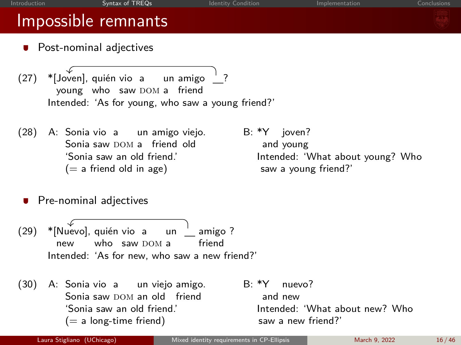### Impossible remnants

- **•** Post-nominal adjectives
- (27) \*[Joven], quién vio a young who saw DOM a friend un amigo ? Intended: 'As for young, who saw a young friend?'
- (28) A: Sonia vio a un amigo viejo. Sonia saw DOM a friend old  $(= a)$  friend old in age) saw a young friend?'
- B: \*Y joven? and young 'Sonia saw an old friend.' Intended: 'What about young? Who
- **Pre-nominal adjectives**
- (29) \*[Nuevo], quién vio a new who saw DOM a un <sub>—</sub> amigo ? friend Intended: 'As for new, who saw a new friend?'
- (30) A: Sonia vio a un viejo amigo. Sonia saw DOM an old friend  $(= a \text{ long-time friend})$  saw a new friend?'
- B: \*Y and new nuevo? 'Sonia saw an old friend.' Intended: 'What about new? Who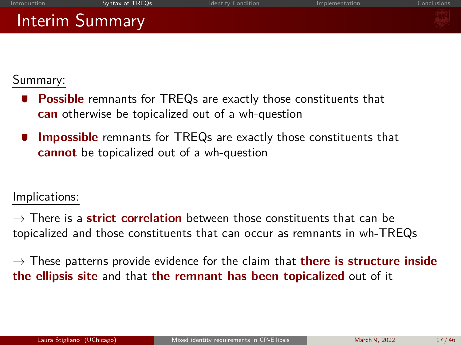Summary:

- **Possible** remnants for TREQs are exactly those constituents that **can** otherwise be topicalized out of a wh-question
- **Impossible** remnants for TREQs are exactly those constituents that **cannot** be topicalized out of a wh-question

Implications:

 $\rightarrow$  There is a **strict correlation** between those constituents that can be topicalized and those constituents that can occur as remnants in wh-TREQs

 $\rightarrow$  These patterns provide evidence for the claim that **there is structure inside the ellipsis site** and that **the remnant has been topicalized** out of it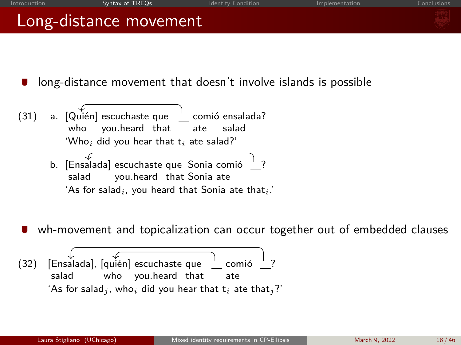| Introduction | Syntax of TREQs                                                                                                                                                                                                                                                                                                                            | <b>Identity Condition</b> | Implementation | Conclusions |
|--------------|--------------------------------------------------------------------------------------------------------------------------------------------------------------------------------------------------------------------------------------------------------------------------------------------------------------------------------------------|---------------------------|----------------|-------------|
|              | Long-distance movement                                                                                                                                                                                                                                                                                                                     |                           |                |             |
|              |                                                                                                                                                                                                                                                                                                                                            |                           |                |             |
|              | long-distance movement that doesn't involve islands is possible                                                                                                                                                                                                                                                                            |                           |                |             |
| (21)         | $\sim$ $\int_0^{\infty}$ $\int_0^{\infty}$ $\int_0^{\infty}$ $\int_0^{\infty}$ $\int_0^{\infty}$ $\int_0^{\infty}$ $\int_0^{\infty}$ $\int_0^{\infty}$ $\int_0^{\infty}$ $\int_0^{\infty}$ $\int_0^{\infty}$ $\int_0^{\infty}$ $\int_0^{\infty}$ $\int_0^{\infty}$ $\int_0^{\infty}$ $\int_0^{\infty}$ $\int_0^{\infty}$ $\int_0^{\infty}$ | samaiá annalada?          |                |             |

- (31) a. [Quién] escuchaste que who you.heard that comió ensalada? ate salad 'Who*<sup>i</sup>* did you hear that t*<sup>i</sup>* ate salad?'
	- b. [Ensalada] escuchaste que Sonia comió salad you.heard that Sonia ate ? 'As for salad*i*, you heard that Sonia ate that*i*.'
- wh-movement and topicalization can occur together out of embedded clauses

(32) [Ensalada], [quién] escuchaste que salad who you.heard that ' comió ate ? 'As for salad<sub>*i*</sub>, who<sub>i</sub> did you hear that  $t_i$  ate that<sub>*i*</sub>?'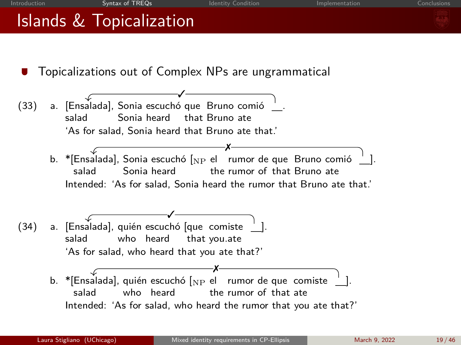<span id="page-18-0"></span>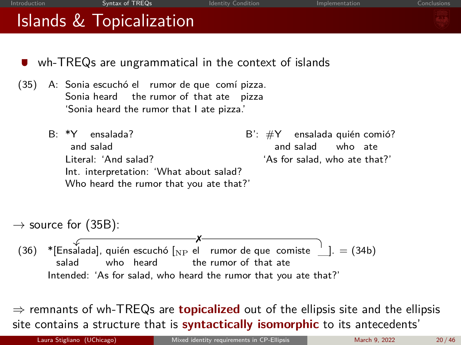<span id="page-19-0"></span>

| Islands & Topicalization                                                     |                                                                                                                                                                                              |                                          |
|------------------------------------------------------------------------------|----------------------------------------------------------------------------------------------------------------------------------------------------------------------------------------------|------------------------------------------|
| (35)<br>$B·*Y$ ensalada?                                                     | wh-TREQs are ungrammatical in the context of islands<br>A: Sonia escuchó el rumor de que comí pizza.<br>Sonia heard the rumor of that ate pizza<br>'Sonia heard the rumor that I ate pizza.' | $B'$ : $\#Y$ ensalada quién comió?       |
| and salad<br>Literal: 'And salad?<br>Int. interpretation: 'What about salad? | and salad<br>Who heard the rumor that you ate that?'                                                                                                                                         | who ate<br>'As for salad, who ate that?' |
| $\rightarrow$ source for (35B):                                              |                                                                                                                                                                                              |                                          |
| (36)<br>who heard<br>salad                                                   | *[Ensalada], quién escuchó [NP el rumor de que comiste $\frac{1}{n}$ ]. = (34b)<br>the rumor of that ate<br>Intended: 'As for salad, who heard the rumor that you ate that?'                 |                                          |
|                                                                              | $\Rightarrow$ remnants of wh-TREQs are <b>topicalized</b> out of the ellipsis site and the ellipsis<br>site contains a structure that is <b>syntactically isomorphic</b> to its antecedents' |                                          |
| Laura Stigliano (UChicago)                                                   | Mixed identity requirements in CP-Ellipsis                                                                                                                                                   | 20/46<br>March 9, 2022                   |

[Introduction](#page-1-0) **[Syntax of TREQs](#page-8-0)** [Identity Condition](#page-29-0) **[Implementation](#page-35-0)** [Conclusions](#page-44-0) Conclusions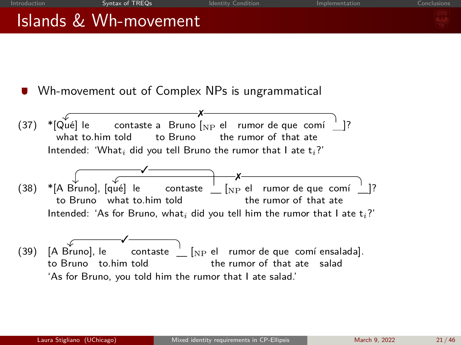



<span id="page-20-0"></span>

(39) [A Bruno], le to Bruno to.him told contaste  $[NP \text{ el }$  rumor de que comí ensalada]. the rumor of that ate salad 'As for Bruno, you told him the rumor that I ate salad.' ✓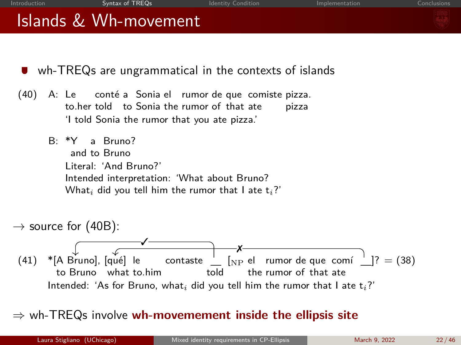| <b>Introduction</b> | Syntax of TREOs       | Identity Condition | Implementation | Conclusions |
|---------------------|-----------------------|--------------------|----------------|-------------|
|                     | Islands & Wh-movement |                    |                |             |
|                     |                       |                    |                |             |

- wh-TREQs are ungrammatical in the contexts of islands
- <span id="page-21-0"></span>(40) A: Le to.her told to Sonia the rumor of that ate conté a Sonia el rumor de que comiste pizza. pizza 'I told Sonia the rumor that you ate pizza.'
	- B: \*Y and to Bruno a Bruno? Literal: 'And Bruno?' Intended interpretation: 'What about Bruno? What*<sup>i</sup>* did you tell him the rumor that I ate t*i*?'



⇒ wh-TREQs involve **wh-movemement inside the ellipsis site**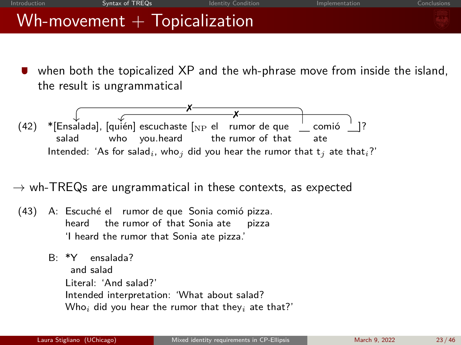| Introduction | Syntax of TREOs | Identity Condition                | Implementation | Conclusions |
|--------------|-----------------|-----------------------------------|----------------|-------------|
|              |                 | $Wh$ -movement $+$ Topicalization |                |             |

when both the topicalized XP and the wh-phrase move from inside the island, the result is ungrammatical



 $\rightarrow$  wh-TREQs are ungrammatical in these contexts, as expected

- (43) A: Escuché el rumor de que Sonia comió pizza. heard the rumor of that Sonia ate pizza 'I heard the rumor that Sonia ate pizza.'
	- B: \*Y and salad ensalada? Literal: 'And salad?' Intended interpretation: 'What about salad? Who*<sup>i</sup>* did you hear the rumor that they*<sup>i</sup>* ate that?'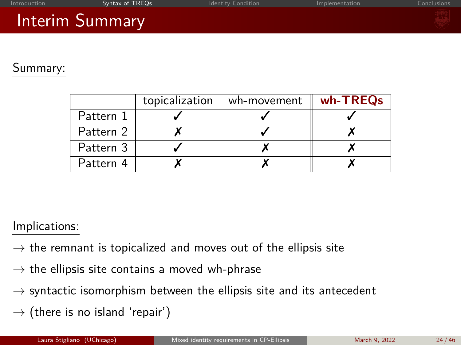| Introduction | Syntax of TREOs                                                                          | <b>Identity Condition</b> | Implementation | Conclusions |
|--------------|------------------------------------------------------------------------------------------|---------------------------|----------------|-------------|
|              | $\mathcal{L}(\mathcal{L})$ and $\mathcal{L}(\mathcal{L})$ and $\mathcal{L}(\mathcal{L})$ |                           |                |             |

### Interim Summary

### Summary:

|           | topicalization | wh-movement | wh-TREQs |
|-----------|----------------|-------------|----------|
| Pattern 1 |                |             |          |
| Pattern 2 |                |             |          |
| Pattern 3 |                |             |          |
| Pattern 4 |                |             |          |

### Implications:

- $\rightarrow$  the remnant is topicalized and moves out of the ellipsis site
- $\rightarrow$  the ellipsis site contains a moved wh-phrase
- $\rightarrow$  syntactic isomorphism between the ellipsis site and its antecedent
- $\rightarrow$  (there is no island 'repair')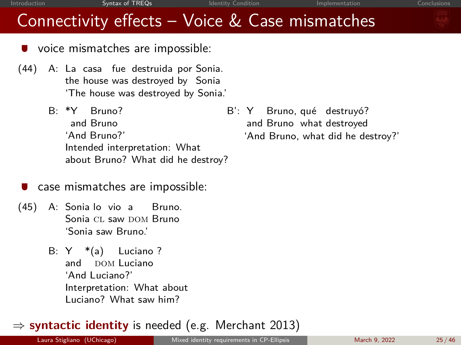## Connectivity effects – Voice & Case mismatches

- voice mismatches are impossible:
- (44) A: La casa fue destruida por Sonia. the house was destroyed by Sonia 'The house was destroyed by Sonia.'
	- B: \*Y and Bruno Bruno? 'And Bruno?' Intended interpretation: What about Bruno? What did he destroy?
- case mismatches are impossible:
- (45) A: Sonia lo vio a Bruno. Sonia CL saw DOM Bruno 'Sonia saw Bruno.'
	- B: Y \*(a) Luciano ? and DOM Luciano 'And Luciano?' Interpretation: What about Luciano? What saw him?

### ⇒ **syntactic identity** is needed (e.g. Merchant 2013)

B': Y and Bruno what destroyed Bruno, qué destruyó? 'And Bruno, what did he destroy?'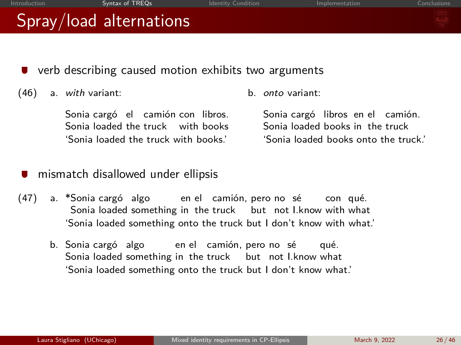| Introduction | Syntax of TREQs                                                                                                | <b>Identity Condition</b> | Implementation                                                                                              | Conclusions |
|--------------|----------------------------------------------------------------------------------------------------------------|---------------------------|-------------------------------------------------------------------------------------------------------------|-------------|
|              | Spray/load alternations                                                                                        |                           |                                                                                                             |             |
|              |                                                                                                                |                           |                                                                                                             |             |
|              | verb describing caused motion exhibits two arguments                                                           |                           |                                                                                                             |             |
| (46)         | a. with variant:                                                                                               | h.                        | onto variant:                                                                                               |             |
|              | Sonia cargó el camión con libros.<br>Sonia loaded the truck with books<br>'Sonia loaded the truck with books.' |                           | Sonia cargó libros en el camión.<br>Sonia loaded books in the truck<br>'Sonia loaded books onto the truck.' |             |

- mismatch disallowed under ellipsis
- (47) a. \*Sonia cargó algo en el camión, pero no sé con qué. Sonia loaded something in the truck but not l.know with what 'Sonia loaded something onto the truck but I don't know with what.'
	- b. Sonia cargó algo en el camión, pero no sé Sonia loaded something in the truck but not I.know what qué. 'Sonia loaded something onto the truck but I don't know what.'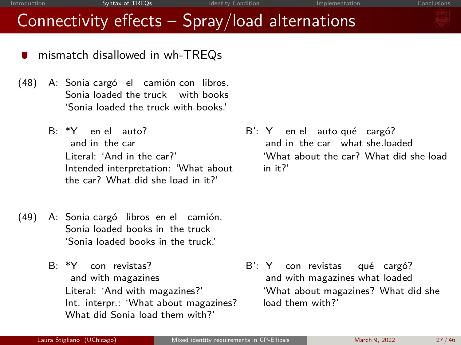### Connectivity effects – Spray/load alternations

- mismatch disallowed in wh-TREQs
- (48) A: Sonia cargó el camión con libros. Sonia loaded the truck with books 'Sonia loaded the truck with books.'
	- B: \*Y en el auto? and in the car Literal: 'And in the car?' Intended interpretation: 'What about the car? What did she load in it?'
- (49) A: Sonia cargó libros en el camión. Sonia loaded books in the truck 'Sonia loaded books in the truck.'
	- B: \*Y con revistas? and with magazines Literal: 'And with magazines?' Int. interpr.: 'What about magazines? What did Sonia load them with?'

B': Y en el auto qué cargó? and in the car what she.loaded 'What about the car? What did she load in it?'

B': Y and with magazines what loaded con revistas qué cargó? 'What about magazines? What did she load them with?'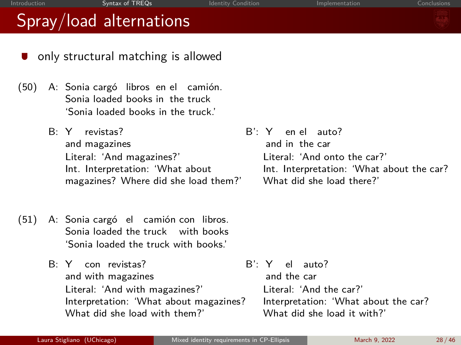- only structural matching is allowed
- (50) A: Sonia cargó libros en el camión. Sonia loaded books in the truck 'Sonia loaded books in the truck.'
	- B: Y revistas? and magazines Literal: 'And magazines?' Int. Interpretation: 'What about magazines? Where did she load them?'
- (51) A: Sonia cargó el camión con libros. Sonia loaded the truck with books 'Sonia loaded the truck with books.'
	- B: Y con revistas? and with magazines Literal: 'And with magazines?' Interpretation: 'What about magazines? What did she load with them?'

B': Y and in the car en el auto? Literal: 'And onto the car?' Int. Interpretation: 'What about the car? What did she load there?'

B': Y el auto? and the car Literal: 'And the car?' Interpretation: 'What about the car? What did she load it with?'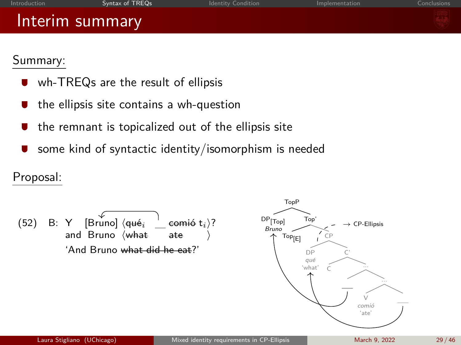| Introduction | Syntax of IREQs | <b>Identity Condition</b> | Implementation | Conclusions |
|--------------|-----------------|---------------------------|----------------|-------------|
|              | Interim summary |                           |                |             |
| Summarv      |                 |                           |                |             |

 $T<sub>0</sub>$ 

### ummary.

- wh-TREQs are the result of ellipsis
- the ellipsis site contains a wh-question  $\blacksquare$
- the remnant is topicalized out of the ellipsis site
- some kind of syntactic identity/isomorphism is needed

### Proposal:

(52) B: Y and [Bruno] Bruno ⟨qu´e*<sup>i</sup>* ⟨what comi´o ate t*i*⟩? ⟩ 'And Bruno what did he eat?' DP[Top] Bruno Top' Top[E] CP DP qu´e 'what' C' C ... ... V comi´o 'ate' → CP-Ellipsis Laura Stigliano (UChicago) [Mixed identity requirements in CP-Ellipsis](#page-0-0) March 9, 2022 29 / 46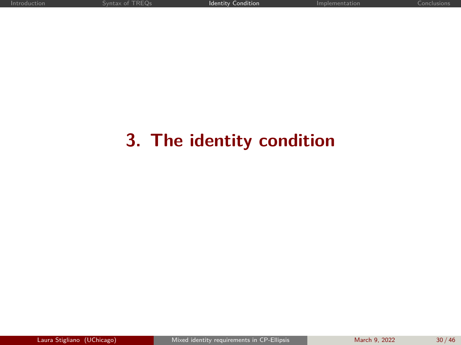## <span id="page-29-0"></span>**3. The identity condition**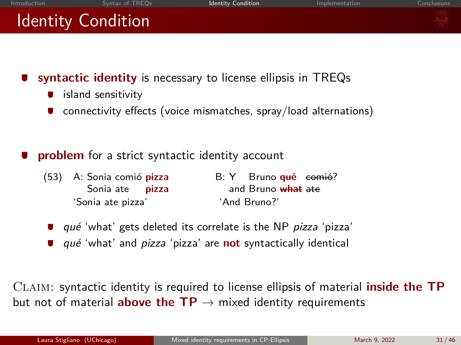

- **syntactic identity** is necessary to license ellipsis in TREQs
	- island sensitivity
	- connectivity effects (voice mismatches, spray/load alternations)
- **problem** for a strict syntactic identity account
	- (53) A: Sonia comió **pizza** Sonia ate **pizza**  $R \cdot Y$ and Bruno <del>what ate</del> Bruno <del>qué</del> comió? 'Sonia ate pizza' 'And Bruno?'
		- qué 'what' gets deleted its correlate is the NP pizza 'pizza'
		- qu´e 'what' and pizza 'pizza' are **not** syntactically identical

Claim: syntactic identity is required to license ellipsis of material **inside the TP** but not of material **above the TP**  $\rightarrow$  mixed identity requirements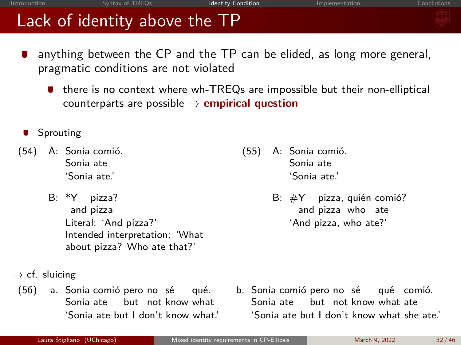## Lack of identity above the TP

- anything between the CP and the TP can be elided, as long more general, pragmatic conditions are not violated
	- there is no context where wh-TREQs are impossible but their non-elliptical counterparts are possible  $\rightarrow$  **empirical question**
- Sprouting
- (54) A: Sonia comió. Sonia ate 'Sonia ate.'
	- B: \*Y pizza? and pizza Literal: 'And pizza?' Intended interpretation: 'What about pizza? Who ate that?'
- (55) A: Sonia comió. Sonia ate 'Sonia ate.'
	- $B: \#Y$  pizza, quién comió? and pizza who ate 'And pizza, who ate?'

- $\rightarrow$  cf. sluicing
- (56) a. Sonia comió pero no sé qué. Sonia ate but not know what 'Sonia ate but I don't know what.'
- b. Sonia comió pero no sé qué comió. Sonia ate but not know what ate 'Sonia ate but I don't know what she ate.'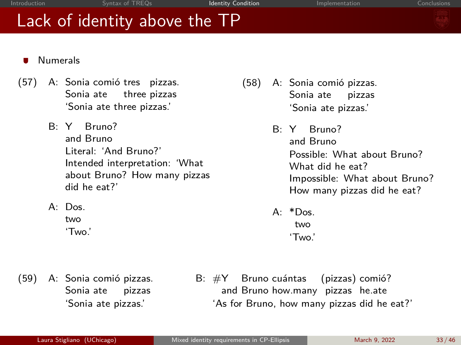## Lack of identity above the TP

- Numerals
- (57) A: Sonia comió tres pizzas. Sonia ate three pizzas 'Sonia ate three pizzas.'
	- B: Y Bruno? and Bruno Literal: 'And Bruno?' Intended interpretation: 'What about Bruno? How many pizzas did he eat?'
	- $A \cdot D$ os two

'Two.'

- (58) A: Sonia comió pizzas. Sonia ate pizzas 'Sonia ate pizzas.'
	- B: Y and Bruno Bruno? Possible: What about Bruno? What did he eat? Impossible: What about Bruno? How many pizzas did he eat?
	- $A \cdot *D$ os two 'Two.'

(59) A: Sonia comió pizzas. Sonia ate pizzas 'Sonia ate pizzas.'

B: #Y and Bruno how.many pizzas he.ate Bruno cuántas (pizzas) comió? 'As for Bruno, how many pizzas did he eat?'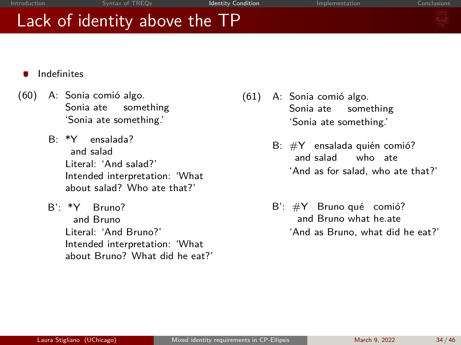## Lack of identity above the TP



- Indefinites
- (60) A: Sonia comió algo. Sonia ate something 'Sonia ate something.'
	- B: \*Y and salad ensalada? Literal: 'And salad?' Intended interpretation: 'What about salad? Who ate that?'
	- B': \*Y Bruno? and Bruno Literal: 'And Bruno?' Intended interpretation: 'What about Bruno? What did he eat?'
- $(61)$  A: Sonia comió algo. Sonia ate something 'Sonia ate something.'
	- $B: \#Y$  ensalada quién comió? and salad who ate 'And as for salad, who ate that?'
	- $B'$ :  $\#Y$  Bruno qué comió? and Bruno what he.ate 'And as Bruno, what did he eat?'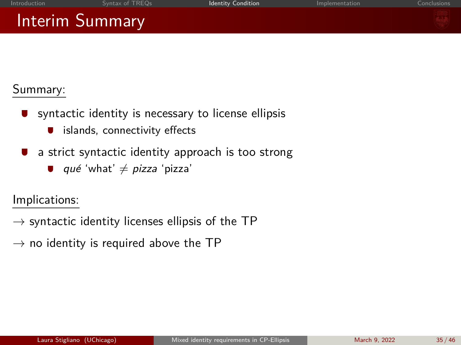## Interim Summary



### Summary:

- syntactic identity is necessary to license ellipsis
	- islands, connectivity effects
- a strict syntactic identity approach is too strong
	- qué 'what'  $\neq$  pizza 'pizza'

Implications:

- $\rightarrow$  syntactic identity licenses ellipsis of the TP
- $\rightarrow$  no identity is required above the TP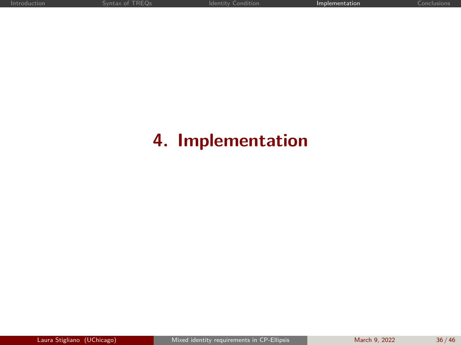## <span id="page-35-0"></span>**4. Implementation**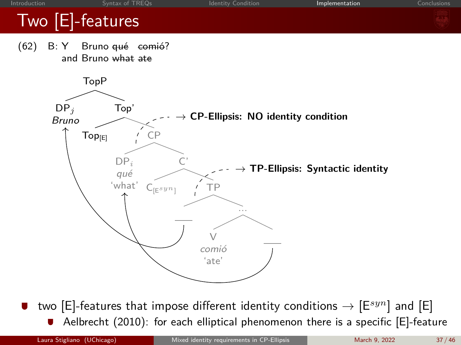

two [E]-features that impose different identity conditions  $\rightarrow$  [E $^{syn}$ ] and [E] Aelbrecht (2010): for each elliptical phenomenon there is a specific [E]-feature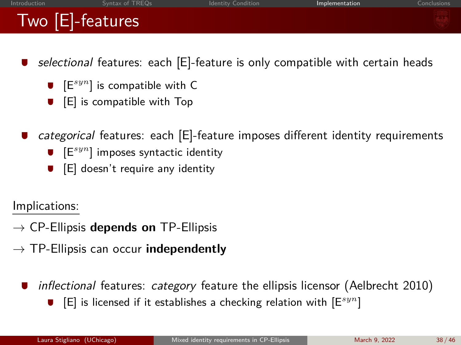## Two [E]-features

- selectional features: each [E]-feature is only compatible with certain heads
	- $\bullet$   $[{\sf E}^{syn}]$  is compatible with C
	- [E] is compatible with Top
- categorical features: each [E]-feature imposes different identity requirements
	- $\bullet$   $[{\sf E}^{syn}]$  imposes syntactic identity
	- [E] doesn't require any identity

Implications:

- $\rightarrow$  CP-Ellipsis **depends on** TP-Ellipsis
- $\rightarrow$  TP-Ellipsis can occur **independently** 
	- inflectional features: category feature the ellipsis licensor (Aelbrecht 2010)
		- [E] is licensed if it establishes a checking relation with [E*syn*]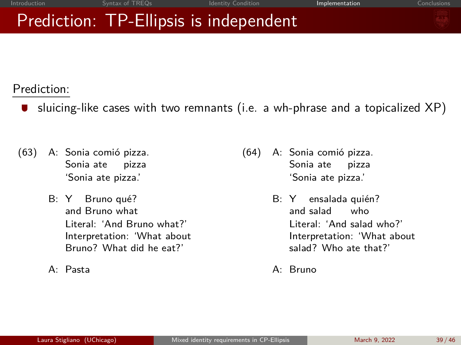## Prediction: TP-Ellipsis is independent

Prediction:

- **J** sluicing-like cases with two remnants (i.e. a wh-phrase and a topicalized  $XP$ )
- (63) A: Sonia comió pizza. Sonia ate pizza 'Sonia ate pizza.'
	- B: Y Bruno qué? and Bruno what Literal: 'And Bruno what?' Interpretation: 'What about Bruno? What did he eat?'
	- A: Pasta
- (64) A: Sonia comió pizza. Sonia ate pizza 'Sonia ate pizza.'
	- B: Y ensalada quién? and salad who Literal: 'And salad who?' Interpretation: 'What about salad? Who ate that?'
	- A: Bruno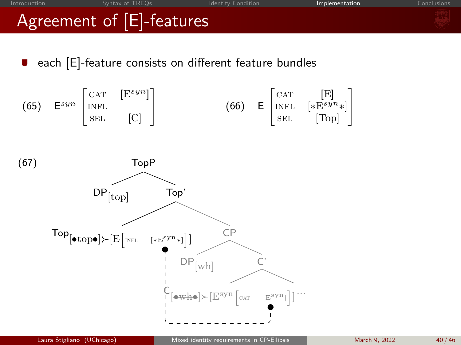

each [E]-feature consists on different feature bundles

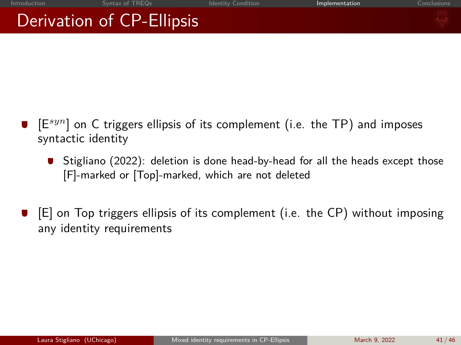## Derivation of CP-Ellipsis

- [E*syn*] on C triggers ellipsis of its complement (i.e. the TP) and imposes syntactic identity
	- Stigliano (2022): deletion is done head-by-head for all the heads except those [F]-marked or [Top]-marked, which are not deleted
- [E] on Top triggers ellipsis of its complement (i.e. the CP) without imposing any identity requirements

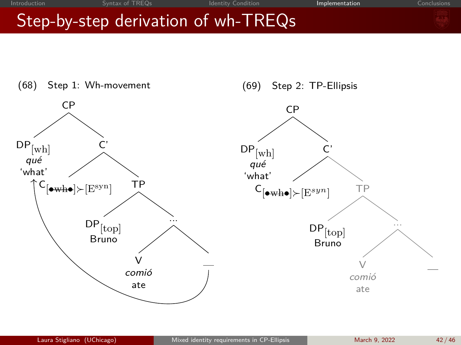## Step-by-step derivation of wh-TREQs



(69) Step 2: TP-Ellipsis

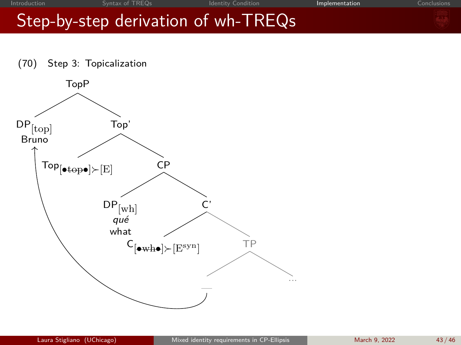## Step-by-step derivation of wh-TREQs



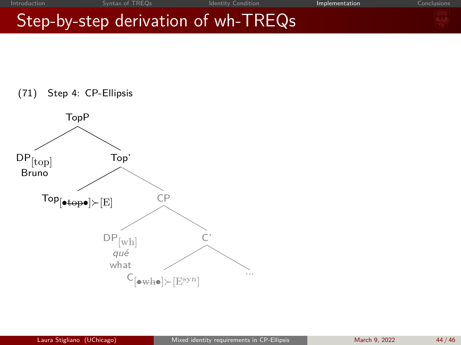## Step-by-step derivation of wh-TREQs

(71) Step 4: CP-Ellipsis

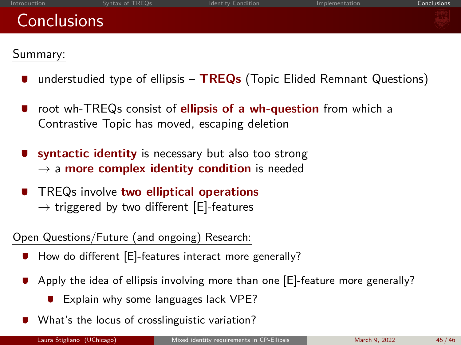## <span id="page-44-0"></span>**Conclusions**

### Summary:

- understudied type of ellipsis **TREQs** (Topic Elided Remnant Questions)
- root wh-TREQs consist of **ellipsis of a wh-question** from which a Contrastive Topic has moved, escaping deletion
- **syntactic identity** is necessary but also too strong  $\rightarrow$  a **more complex identity condition** is needed
- TREQs involve **two elliptical operations**  $\rightarrow$  triggered by two different [E]-features

### Open Questions/Future (and ongoing) Research:

- How do different [E]-features interact more generally?
- Apply the idea of ellipsis involving more than one [E]-feature more generally?
	- **Explain why some languages lack VPE?**
- What's the locus of crosslinguistic variation?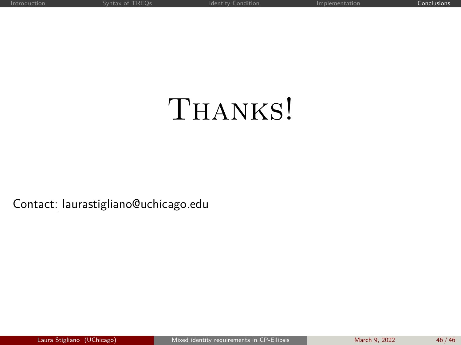# <span id="page-45-0"></span>THANKS!

Contact: laurastigliano@uchicago.edu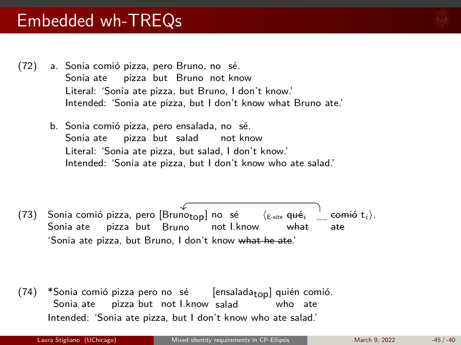- (72) a. Sonia comió pizza, pero Bruno, no sé. Sonia ate pizza but Bruno not know Literal: 'Sonia ate pizza, but Bruno, I don't know.' Intended: 'Sonia ate pizza, but I don't know what Bruno ate.'
	- b. Sonia comió pizza, pero ensalada, no sé. Sonia ate pizza but salad not know Literal: 'Sonia ate pizza, but salad, I don't know.' Intended: 'Sonia ate pizza, but I don't know who ate salad.'

(73) Sonia comió pizza, pero [Bruno<sub>top</sub>] no sé Sonia ate pizza but Bruno not I.know  $\zeta_{\mathsf{F-site}}$  **qué**<sub>*i*</sub> what  $\mathsf{comi\'o}\; \mathsf{t}_i \rangle.$ ate 'Sonia ate pizza, but Bruno, I don't know what he ate.'

(74) \*Sonia comió pizza pero no sé Sonia ate pizza but not I.know salad [ensalada<sub>top</sub>] quién comió. who ate Intended: 'Sonia ate pizza, but I don't know who ate salad.'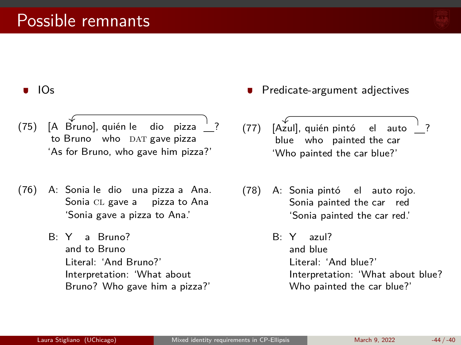

?

### IOs

- (75) [A Bruno], quién le to Bruno who DAT gave pizza dio pizza  $^{\prime}$  ? 'As for Bruno, who gave him pizza?'
- (76) A: Sonia le dio una pizza a Ana. Sonia CL gave a pizza to Ana 'Sonia gave a pizza to Ana.'
	- B: Y a Bruno? and to Bruno Literal: 'And Bruno?' Interpretation: 'What about Bruno? Who gave him a pizza?'
- Predicate-argument adjectives
- (77) [Azul], quién pintó el auto blue who painted the car 'Who painted the car blue?'
- (78) A: Sonia pintó el auto rojo. Sonia painted the car red 'Sonia painted the car red.'
	- B: Y azul? and blue Literal: 'And blue?' Interpretation: 'What about blue? Who painted the car blue?'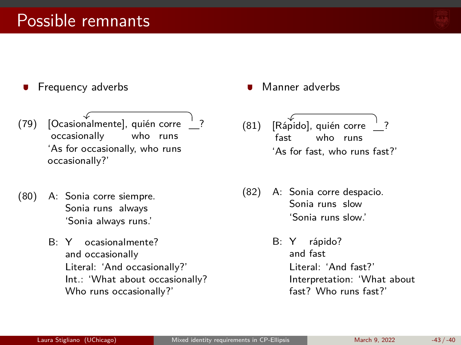

- Frequency adverbs
- (79) [Ocasionalmente], quién corre occasionally who runs ? 'As for occasionally, who runs occasionally?'
- (80) A: Sonia corre siempre. Sonia runs always 'Sonia always runs.'
	- B: Y and occasionally ocasionalmente? Literal: 'And occasionally?' Int.: 'What about occasionally? Who runs occasionally?'
- Manner adverbs
- (81) [Rápido], quién corre fast who runs ? 'As for fast, who runs fast?'
- (82) A: Sonia corre despacio. Sonia runs slow 'Sonia runs slow.'
	- B: Y and fast rápido? Literal: 'And fast?' Interpretation: 'What about fast? Who runs fast?'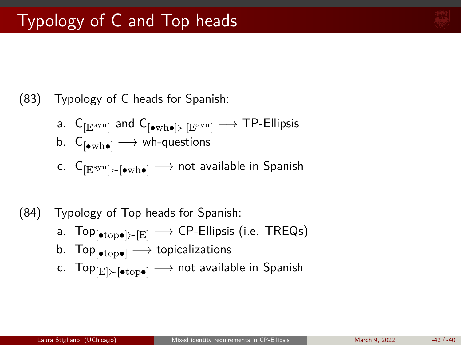

### (83) Typology of C heads for Spanish:

$$
\begin{array}{ll} \text{a.} & \mathsf{C}_{\left[\mathbf{E}^\text{syn}\right]} \text{ and } \mathsf{C}_{\left[\bullet\text{wh}\bullet\right] \succ \left[\mathbf{E}^\text{syn}\right]} \longrightarrow \text{TP-Ellipsis} \\ \text{b.} & \mathsf{C}_{\left[\bullet\text{wh}\bullet\right]} \longrightarrow \text{wh-questions} \end{array}
$$

$$
\text{c.} \ \ \mathsf{C}_{[\text{E}^\text{syn}] \succ [\bullet \text{wh} \bullet]} \longrightarrow \text{not available in Spanish}
$$

### (84) Typology of Top heads for Spanish:

- a. Top $_{\lbrack \bullet \text{top} \bullet \rbrack > \lbrack E \rbrack \longrightarrow$  CP-Ellipsis (i.e. TREQs)
- b. Top $_{\text{[otrop]}} \longrightarrow$  topicalizations
- c. Top $_{\text{[E]}\succ \text{[otrop]}} \longrightarrow \text{not available in Spanish}$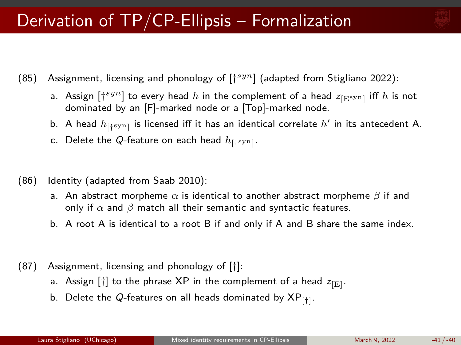

- (85) Assignment, licensing and phonology of [† *syn*] (adapted from Stigliano 2022):
	- a. Assign  $[\dagger^{syn}]$  to every head  $h$  in the complement of a head  $z_{[\text{Esyn}]}$  iff  $h$  is not dominated by an [F]-marked node or a [Top]-marked node.
	- b. A head  $h_{[\dagger^{\rm syn}]}$  is licensed iff it has an identical correlate  $h'$  in its antecedent A.
	- c. Delete the Q-feature on each head  $h_{[\dagger^{\text{syn}}]}.$
- (86) Identity (adapted from Saab 2010):
	- a. An abstract morpheme *α* is identical to another abstract morpheme *β* if and only if  $\alpha$  and  $\beta$  match all their semantic and syntactic features.
	- b. A root A is identical to a root B if and only if A and B share the same index.
- (87) Assignment, licensing and phonology of [†]:
	- a. Assign  $[\dagger]$  to the phrase XP in the complement of a head  $z_{\rm [E]}$ .
	- b. Delete the Q-features on all heads dominated by  $\mathsf{XP}_{[ \dagger ]}.$